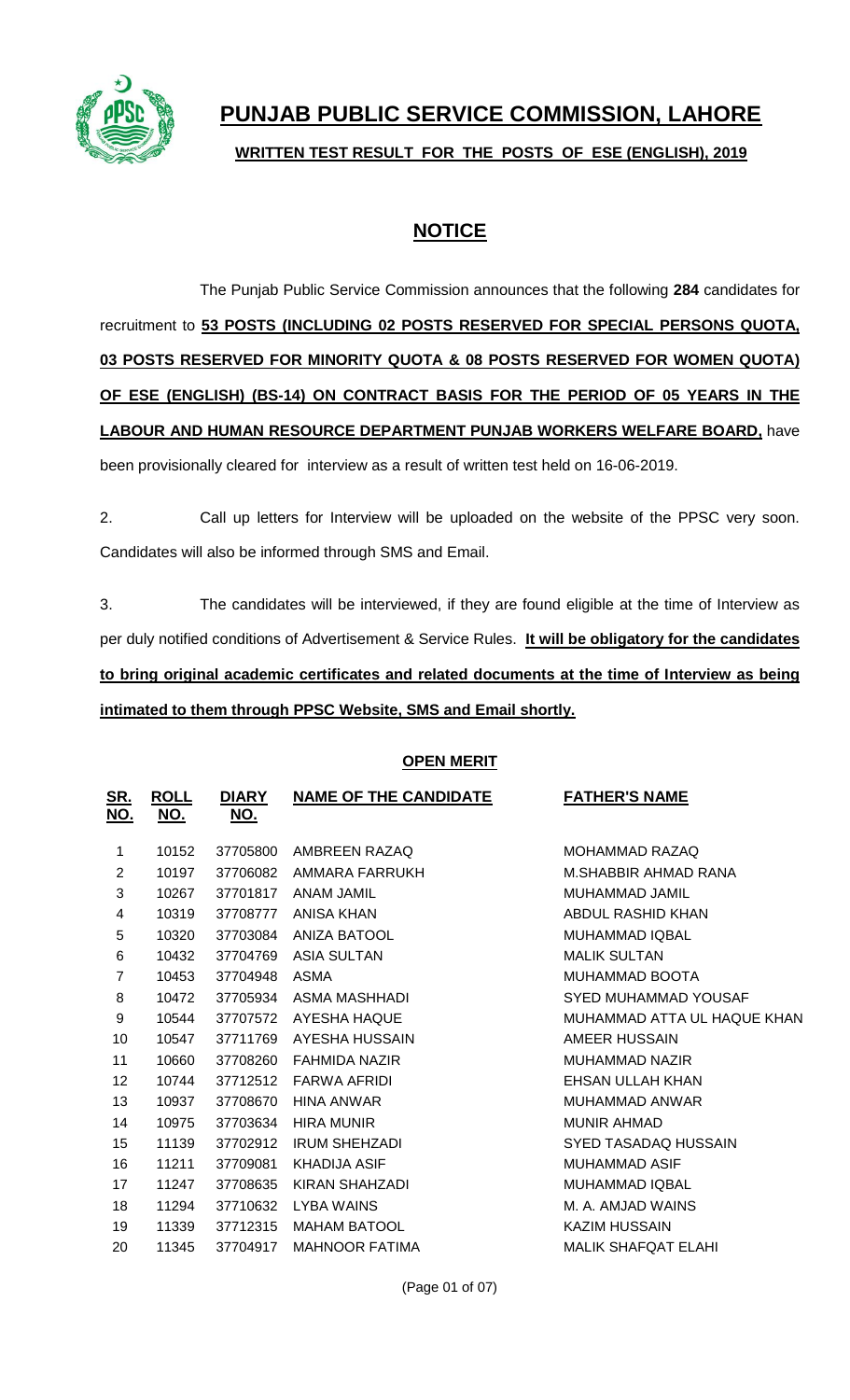

# **PUNJAB PUBLIC SERVICE COMMISSION, LAHORE WRITTEN TEST RESULT FOR THE POSTS OF ESE (ENGLISH), 2019**

### **NOTICE**

The Punjab Public Service Commission announces that the following **284** candidates for recruitment to **53 POSTS (INCLUDING 02 POSTS RESERVED FOR SPECIAL PERSONS QUOTA, 03 POSTS RESERVED FOR MINORITY QUOTA & 08 POSTS RESERVED FOR WOMEN QUOTA) OF ESE (ENGLISH) (BS-14) ON CONTRACT BASIS FOR THE PERIOD OF 05 YEARS IN THE LABOUR AND HUMAN RESOURCE DEPARTMENT PUNJAB WORKERS WELFARE BOARD,** have

been provisionally cleared for interview as a result of written test held on 16-06-2019.

2. Call up letters for Interview will be uploaded on the website of the PPSC very soon. Candidates will also be informed through SMS and Email.

3. The candidates will be interviewed, if they are found eligible at the time of Interview as per duly notified conditions of Advertisement & Service Rules. **It will be obligatory for the candidates to bring original academic certificates and related documents at the time of Interview as being intimated to them through PPSC Website, SMS and Email shortly.**

### **OPEN MERIT**

| <u>SR.</u><br>NO. | <b>ROLL</b><br><u>NO.</u> | <b>DIARY</b><br><u>NO.</u> | <b>NAME OF THE CANDIDATE</b> | <b>FATHER'S NAME</b>        |
|-------------------|---------------------------|----------------------------|------------------------------|-----------------------------|
| 1                 | 10152                     | 37705800                   | AMBREEN RAZAQ                | <b>MOHAMMAD RAZAQ</b>       |
| 2                 | 10197                     | 37706082                   | AMMARA FARRUKH               | M.SHABBIR AHMAD RANA        |
| 3                 | 10267                     | 37701817                   | <b>ANAM JAMIL</b>            | MUHAMMAD JAMIL              |
| 4                 | 10319                     | 37708777                   | ANISA KHAN                   | ABDUL RASHID KHAN           |
| 5                 | 10320                     | 37703084                   | <b>ANIZA BATOOL</b>          | <b>MUHAMMAD IQBAL</b>       |
| 6                 | 10432                     | 37704769                   | <b>ASIA SULTAN</b>           | <b>MALIK SULTAN</b>         |
| 7                 | 10453                     | 37704948                   | <b>ASMA</b>                  | MUHAMMAD BOOTA              |
| 8                 | 10472                     | 37705934                   | ASMA MASHHADI                | SYED MUHAMMAD YOUSAF        |
| 9                 | 10544                     | 37707572                   | AYESHA HAQUE                 | MUHAMMAD ATTA UL HAQUE KHAN |
| 10                | 10547                     | 37711769                   | AYESHA HUSSAIN               | AMEER HUSSAIN               |
| 11                | 10660                     | 37708260                   | <b>FAHMIDA NAZIR</b>         | MUHAMMAD NAZIR              |
| 12                | 10744                     | 37712512                   | <b>FARWA AFRIDI</b>          | EHSAN ULLAH KHAN            |
| 13                | 10937                     | 37708670                   | <b>HINA ANWAR</b>            | <b>MUHAMMAD ANWAR</b>       |
| 14                | 10975                     | 37703634                   | <b>HIRA MUNIR</b>            | <b>MUNIR AHMAD</b>          |
| 15                | 11139                     | 37702912                   | <b>IRUM SHEHZADI</b>         | SYED TASADAQ HUSSAIN        |
| 16                | 11211                     | 37709081                   | <b>KHADIJA ASIF</b>          | <b>MUHAMMAD ASIF</b>        |
| 17                | 11247                     | 37708635                   | <b>KIRAN SHAHZADI</b>        | <b>MUHAMMAD IQBAL</b>       |
| 18                | 11294                     | 37710632                   | <b>LYBA WAINS</b>            | M. A. AMJAD WAINS           |
| 19                | 11339                     | 37712315                   | <b>MAHAM BATOOL</b>          | <b>KAZIM HUSSAIN</b>        |
| 20                | 11345                     | 37704917                   | <b>MAHNOOR FATIMA</b>        | <b>MALIK SHAFQAT ELAHI</b>  |
|                   |                           |                            |                              |                             |

(Page 01 of 07)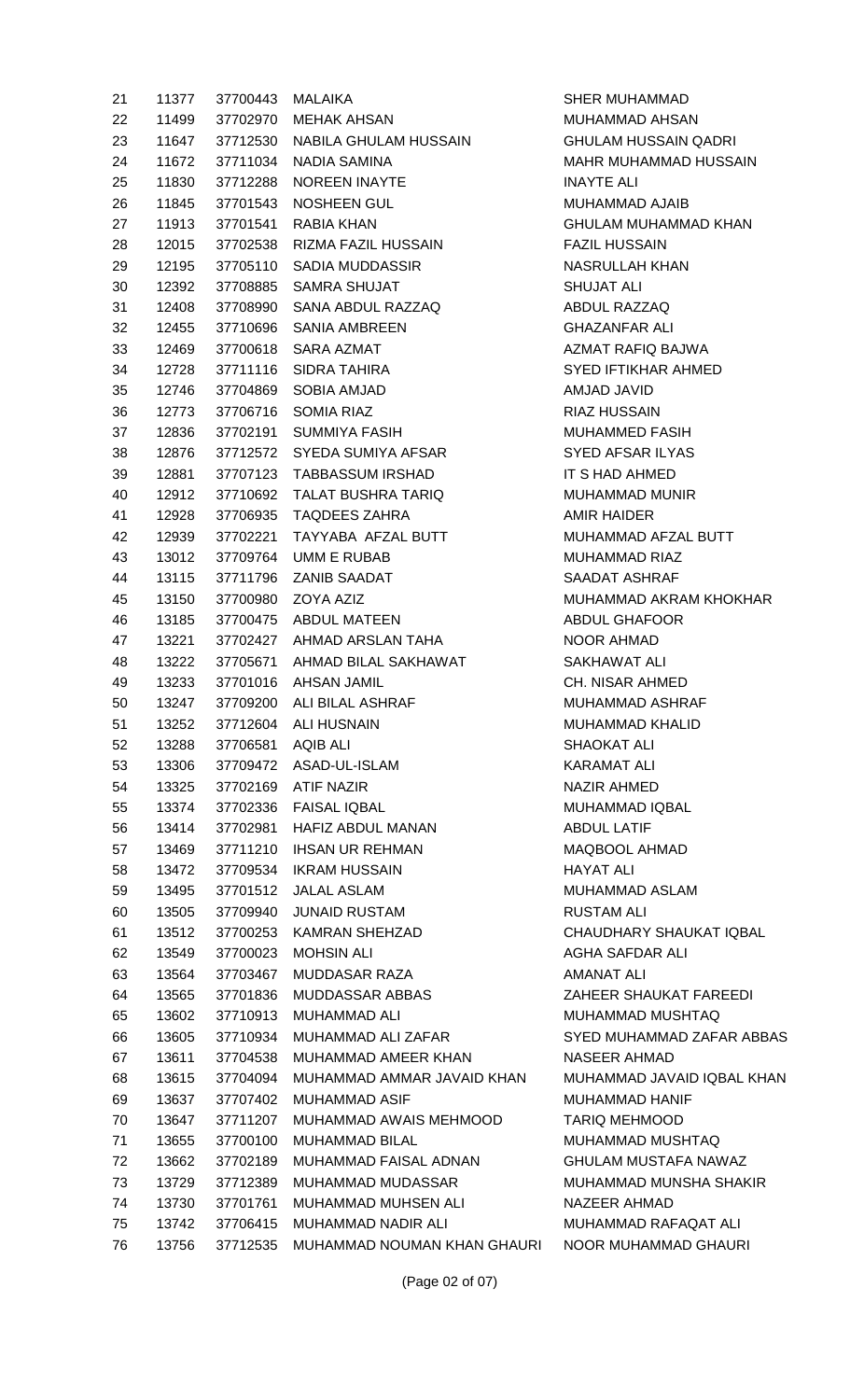| 21     | 11377 |                   | 37700443 MALAIKA                     |
|--------|-------|-------------------|--------------------------------------|
| 22     | 11499 |                   | 37702970 MEHAK AHSAN                 |
| 23     |       |                   | 11647 37712530 NABILA GHULAM HUSSAIN |
| 24     | 11672 |                   | 37711034 NADIA SAMINA                |
| 25     | 11830 |                   | 37712288 NOREEN INAYTE               |
| 26     | 11845 |                   | 37701543 NOSHEEN GUL                 |
| 27     |       |                   | 11913 37701541 RABIA KHAN            |
| 28     | 12015 |                   | 37702538 RIZMA FAZIL HUSSAIN         |
| 29     |       |                   | 12195 37705110 SADIA MUDDASSIR       |
| 30     |       |                   | 12392 37708885 SAMRA SHUJAT          |
| $31 -$ |       |                   | 12408 37708990 SANA ABDUL RAZZAQ     |
| 32     | 12455 |                   | 37710696 SANIA AMBREEN               |
| 33     |       |                   | 12469 37700618 SARA AZMAT            |
| 34 —   |       |                   | 12728 37711116 SIDRA TAHIRA          |
| 35     |       |                   | 12746 37704869 SOBIA AMJAD           |
| 36 —   | 12773 |                   | 37706716 SOMIA RIAZ                  |
| 37     |       |                   | 12836 37702191 SUMMIYA FASIH         |
| 38     |       |                   | 12876 37712572 SYEDA SUMIYA AFSAR    |
| 39     |       |                   | 12881 37707123 TABBASSUM IRSHAD      |
| 40 —   | 12912 |                   | 37710692 TALAT BUSHRA TARIQ          |
| 41     |       |                   | 12928 37706935 TAQDEES ZAHRA         |
| 42     | 12939 |                   | 37702221 TAYYABA AFZAL BUTT          |
| 43     |       |                   | 13012 37709764 UMM E RUBAB           |
| 44 —   | 13115 |                   | 37711796 ZANIB SAADAT                |
| 45     | 13150 |                   | 37700980 ZOYA AZIZ                   |
| 46 —   | 13185 |                   | 37700475 ABDUL MATEEN                |
| 47     | 13221 |                   | 37702427 AHMAD ARSLAN TAHA           |
| 48 —   | 13222 |                   | 37705671 AHMAD BILAL SAKHAWAT        |
| 49 —   |       |                   | 13233 37701016 AHSAN JAMIL           |
| 50     | 13247 |                   | 37709200 ALI BILAL ASHRAF            |
| 51     | 13252 | 37712604          | <b>ALI HUSNAIN</b>                   |
| 52     | 13288 | 37706581 AQIB ALI |                                      |
| 53     | 13306 |                   | 37709472 ASAD-UL-ISLAM               |
| 54     | 13325 | 37702169          | <b>ATIF NAZIR</b>                    |
| 55     | 13374 |                   | 37702336 FAISAL IQBAL                |
| 56     | 13414 |                   | 37702981 HAFIZ ABDUL MANAN           |
| 57     | 13469 |                   | 37711210 IHSAN UR REHMAN             |
| 58     | 13472 |                   | 37709534 IKRAM HUSSAIN               |
| 59     | 13495 | 37701512          | <b>JALAL ASLAM</b>                   |
| 60     | 13505 | 37709940          | <b>JUNAID RUSTAM</b>                 |
| 61     | 13512 |                   | 37700253 KAMRAN SHEHZAD              |
| 62     | 13549 | 37700023          | MOHSIN ALI                           |
| 63     | 13564 | 37703467          | MUDDASAR RAZA                        |
| 64     | 13565 | 37701836          | <b>MUDDASSAR ABBAS</b>               |
| 65     | 13602 |                   | 37710913 MUHAMMAD ALI                |
| 66     | 13605 | 37710934          | MUHAMMAD ALI ZAFAR                   |
| 67     | 13611 |                   | 37704538 MUHAMMAD AMEER KHAN         |
|        |       |                   |                                      |
| 68     | 13615 | 37704094          | MUHAMMAD AMMAR JAVAID KHAN           |
| 69     | 13637 | 37711207          | 37707402 MUHAMMAD ASIF               |
| 70     | 13647 |                   | MUHAMMAD AWAIS MEHMOOD               |
| 71     | 13655 | 37700100          | <b>MUHAMMAD BILAL</b>                |
| 72     | 13662 | 37702189          | MUHAMMAD FAISAL ADNAN                |
| 73     | 13729 | 37712389          | MUHAMMAD MUDASSAR                    |
| 74     | 13730 | 37701761          | MUHAMMAD MUHSEN ALI                  |
| 75     | 13742 |                   | 37706415 MUHAMMAD NADIR ALI          |
| 76     | 13756 | 37712535          | MUHAMMAD NOUMAN KHAN GHAL            |

**SHER MUHAMMAD** MUHAMMAD AHSAN GHULAM HUSSAIN QADRI MAHR MUHAMMAD HUSSAIN **INAYTE ALI** MUHAMMAD AJAIB GHULAM MUHAMMAD KHAN **FAZIL HUSSAIN** NASRULLAH KHAN SHUJAT ALI ABDUL RAZZAQ GHAZANFAR ALI AZMAT RAFIQ BAJWA SYED IFTIKHAR AHMED AMJAD JAVID RIAZ HUSSAIN MUHAMMED FASIH **SYED AFSAR ILYAS** IT S HAD AHMED MUHAMMAD MUNIR AMIR HAIDER MUHAMMAD AFZAL BUTT MUHAMMAD RIAZ SAADAT ASHRAF MUHAMMAD AKRAM KHOKHAR ABDUL GHAFOOR NOOR AHMAD SAKHAWAT ALI CH. NISAR AHMED MUHAMMAD ASHRAF MUHAMMAD KHALID SHAOKAT ALI KARAMAT ALI NAZIR AHMED MUHAMMAD IQBAL ABDUL LATIF MAQBOOL AHMAD HAYAT ALI MUHAMMAD ASLAM **RUSTAM ALI** CHAUDHARY SHAUKAT IQBAL AGHA SAFDAR ALI AMANAT ALI ZAHEER SHAUKAT FAREEDI MUHAMMAD MUSHTAQ SYED MUHAMMAD ZAFAR ABBAS NASEER AHMAD N MUHAMMAD JAVAID IQBAL KHAN MUHAMMAD HANIF TARIQ MEHMOOD MUHAMMAD MUSHTAQ GHULAM MUSTAFA NAWAZ MUHAMMAD MUNSHA SHAKIR NAZEER AHMAD MUHAMMAD RAFAQAT ALI URI NOOR MUHAMMAD GHAURI

(Page 02 of 07)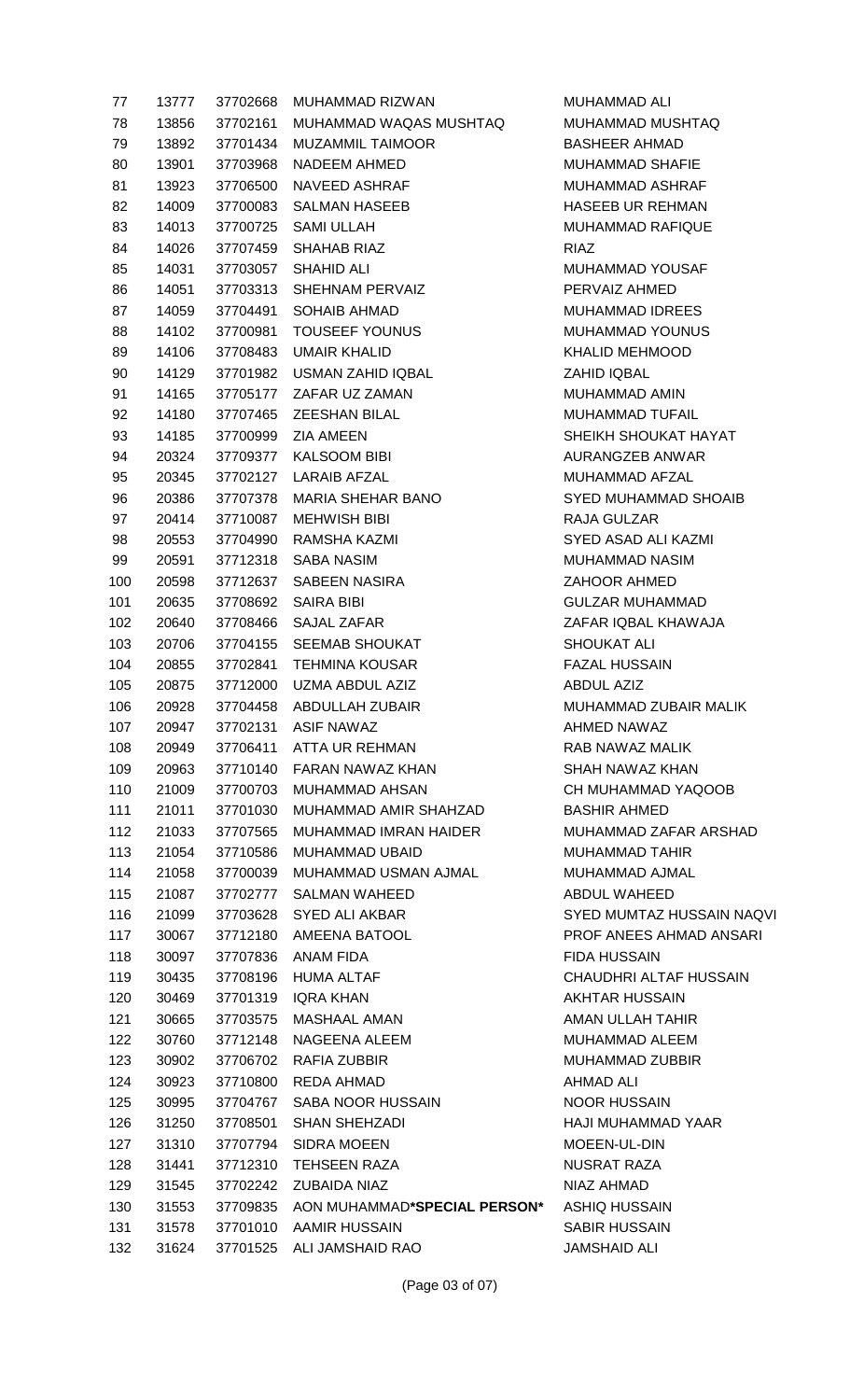| 77  | 13777 | 37702668       | MUHAMMAD RIZWAN                              | <b>MUH</b>       |
|-----|-------|----------------|----------------------------------------------|------------------|
| 78  | 13856 | 37702161       | MUHAMMAD WAQAS MUSHTAQ                       | <b>MUH</b>       |
| 79  |       | 13892 37701434 | MUZAMMIL TAIMOOR                             | <b>BASI</b>      |
| 80  | 13901 | 37703968       | NADEEM AHMED                                 | <b>MUH</b>       |
| 81  | 13923 | 37706500       | NAVEED ASHRAF                                | <b>MUH</b>       |
| 82  | 14009 | 37700083       | SALMAN HASEEB                                | <b>HASI</b>      |
| 83  | 14013 | 37700725       | SAMI ULLAH                                   | <b>MUH</b>       |
| 84  | 14026 | 37707459       | SHAHAB RIAZ                                  | <b>RIAZ</b>      |
| 85  | 14031 |                | 37703057 SHAHID ALI                          | <b>MUH</b>       |
| 86  | 14051 | 37703313       | SHEHNAM PERVAIZ                              | PER <sup>1</sup> |
| 87  | 14059 |                | 37704491 SOHAIB AHMAD                        | <b>MUH</b>       |
| 88  | 14102 | 37700981       | <b>TOUSEEF YOUNUS</b>                        | <b>MUH</b>       |
| 89  | 14106 | 37708483       | UMAIR KHALID                                 | <b>KHAI</b>      |
| 90  | 14129 | 37701982       | USMAN ZAHID IQBAL                            | ZAHI             |
| 91  | 14165 |                | 37705177 ZAFAR UZ ZAMAN                      | <b>MUH</b>       |
| 92  | 14180 | 37707465       | <b>ZEESHAN BILAL</b>                         | <b>MUH</b>       |
| 93  | 14185 | 37700999       | <b>ZIA AMEEN</b>                             | <b>SHEI</b>      |
| 94  | 20324 |                | 37709377 KALSOOM BIBI                        | AUR.             |
| 95  | 20345 |                | 37702127 LARAIB AFZAL                        | <b>MUH</b>       |
| 96  | 20386 | 37707378       | MARIA SHEHAR BANO                            | <b>SYEI</b>      |
| 97  | 20414 | 37710087       | MEHWISH BIBI                                 | RAJ/             |
| 98  | 20553 | 37704990       | RAMSHA KAZMI                                 | <b>SYEI</b>      |
| 99  | 20591 | 37712318       | SABA NASIM                                   | <b>MUH</b>       |
| 100 | 20598 | 37712637       | SABEEN NASIRA                                | <b>ZAH</b>       |
| 101 | 20635 | 37708692       | <b>SAIRA BIBI</b>                            | <b>GUL</b>       |
| 102 | 20640 | 37708466       | SAJAL ZAFAR                                  | ZAF/             |
| 103 | 20706 |                | 37704155 SEEMAB SHOUKAT                      | <b>SHO</b>       |
| 104 | 20855 | 37702841       | <b>TEHMINA KOUSAR</b>                        | FAZ/             |
| 105 | 20875 | 37712000       | UZMA ABDUL AZIZ                              | <b>ABDI</b>      |
| 106 | 20928 |                | 37704458 ABDULLAH ZUBAIR                     | <b>MUH</b>       |
| 107 | 20947 | 37702131       | <b>ASIF NAWAZ</b>                            | <b>AHM</b>       |
| 108 | 20949 | 37706411       | ATTA UR REHMAN                               | RAB              |
| 109 | 20963 |                | 37710140 FARAN NAWAZ KHAN                    | <b>SHAI</b>      |
| 110 | 21009 | 37700703       | <b>MUHAMMAD AHSAN</b>                        | CH <sub>N</sub>  |
| 111 | 21011 | 37701030       | MUHAMMAD AMIR SHAHZAD                        | <b>BAS</b>       |
| 112 | 21033 | 37707565       | <b>MUHAMMAD IMRAN HAIDER</b>                 | <b>MUH</b>       |
| 113 | 21054 | 37710586       | MUHAMMAD UBAID                               | <b>MUH</b>       |
| 114 | 21058 | 37700039       | MUHAMMAD USMAN AJMAL                         | <b>MUH</b>       |
| 115 | 21087 | 37702777       | <b>SALMAN WAHEED</b>                         | <b>ABDI</b>      |
| 116 | 21099 | 37703628       | <b>SYED ALI AKBAR</b>                        | <b>SYEI</b>      |
| 117 | 30067 | 37712180       | AMEENA BATOOL                                | <b>PRO</b>       |
| 118 | 30097 | 37707836       | ANAM FIDA                                    | <b>FIDA</b>      |
| 119 | 30435 | 37708196       | <b>HUMA ALTAF</b>                            | <b>CHA</b>       |
| 120 | 30469 | 37701319       | IQRA KHAN                                    | AKH <sup>-</sup> |
| 121 | 30665 | 37703575       | MASHAAL AMAN                                 | AMA              |
| 122 | 30760 | 37712148       | NAGEENA ALEEM                                | <b>MUH</b>       |
| 123 | 30902 | 37706702       | RAFIA ZUBBIR                                 | <b>MUH</b>       |
|     |       |                | <b>REDA AHMAD</b>                            | <b>AHM</b>       |
| 124 | 30923 | 37710800       |                                              |                  |
| 125 | 30995 |                | 37704767 SABA NOOR HUSSAIN                   | <b>NOO</b>       |
| 126 | 31250 | 37708501       | <b>SHAN SHEHZADI</b>                         | <b>HAJI</b>      |
| 127 | 31310 | 37707794       | <b>SIDRA MOEEN</b>                           | <b>MOE</b>       |
| 128 | 31441 | 37712310       | <b>TEHSEEN RAZA</b>                          | <b>NUSI</b>      |
| 129 | 31545 | 37702242       | ZUBAIDA NIAZ<br>AON MUHAMMAD*SPECIAL PERSON* | <b>NIAZ</b>      |
| 130 | 31553 | 37709835       |                                              | <b>ASHI</b>      |
| 131 | 31578 | 37701010       | AAMIR HUSSAIN                                | <b>SABI</b>      |
|     |       |                | 132 31624 37701525 ALI JAMSHAID RAO          | <b>JAMS</b>      |

MUHAMMAD ALI MUHAMMAD MUSHTAQ BASHEER AHMAD **MUHAMMAD SHAFIE** MUHAMMAD ASHRAF HASEEB UR REHMAN MUHAMMAD RAFIQUE MUHAMMAD YOUSAF PERVAIZ AHMED MUHAMMAD IDREES MUHAMMAD YOUNUS KHALID MEHMOOD ZAHID IQBAL MUHAMMAD AMIN MUHAMMAD TUFAIL SHEIKH SHOUKAT HAYAT AURANGZEB ANWAR MUHAMMAD AFZAL SYED MUHAMMAD SHOAIB RAJA GULZAR SYED ASAD ALI KAZMI MUHAMMAD NASIM ZAHOOR AHMED GULZAR MUHAMMAD ZAFAR IQBAL KHAWAJA SHOUKAT ALI FAZAL HUSSAIN ABDUL AZIZ MUHAMMAD ZUBAIR MALIK AHMED NAWAZ RAB NAWAZ MALIK SHAH NAWAZ KHAN CH MUHAMMAD YAQOOB BASHIR AHMED MUHAMMAD ZAFAR ARSHAD MUHAMMAD TAHIR MUHAMMAD AJMAL ABDUL WAHEED SYED MUMTAZ HUSSAIN NAQVI PROF ANEES AHMAD ANSARI FIDA HUSSAIN CHAUDHRI ALTAF HUSSAIN AKHTAR HUSSAIN AMAN ULLAH TAHIR MUHAMMAD ALEEM MUHAMMAD ZUBBIR AHMAD ALI NOOR HUSSAIN HAJI MUHAMMAD YAAR MOEEN-UL-DIN NUSRAT RAZA NIAZ AHMAD 130 31553 37709835 AON MUHAMMAD**\*SPECIAL PERSON\*** ASHIQ HUSSAIN SABIR HUSSAIN JAMSHAID ALI

(Page 03 of 07)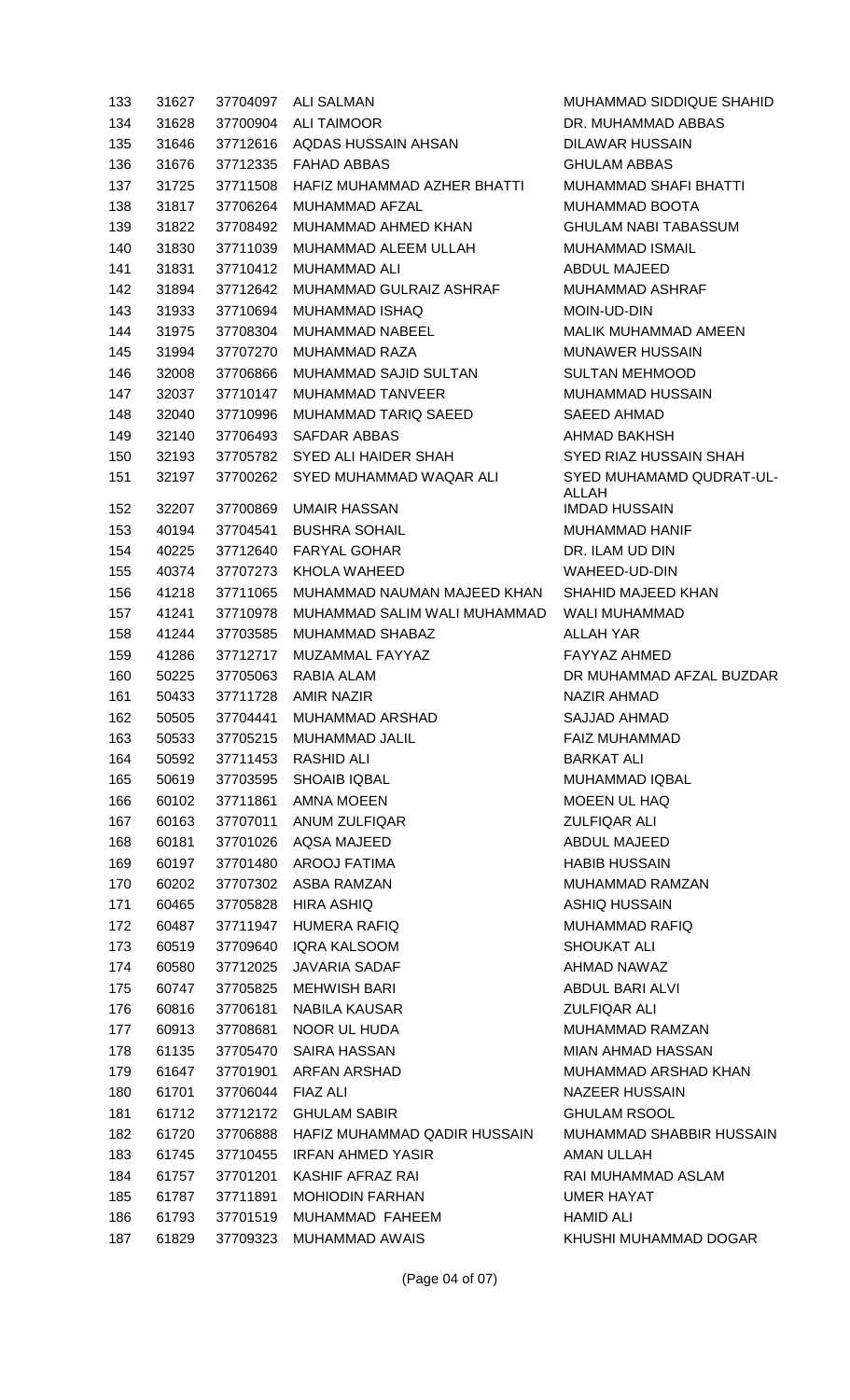| 133 | 31627 | 37704097          | <b>ALI SALMAN</b>                     | M              |
|-----|-------|-------------------|---------------------------------------|----------------|
| 134 | 31628 | 37700904          | <b>ALI TAIMOOR</b>                    | DI             |
| 135 | 31646 | 37712616          | AQDAS HUSSAIN AHSAN                   | DI             |
| 136 | 31676 | 37712335          | <b>FAHAD ABBAS</b>                    | GI             |
| 137 | 31725 | 37711508          | HAFIZ MUHAMMAD AZHER BHATTI           | M              |
| 138 | 31817 | 37706264          | <b>MUHAMMAD AFZAL</b>                 | M              |
| 139 | 31822 | 37708492          | MUHAMMAD AHMED KHAN                   | GI             |
| 140 | 31830 | 37711039          | MUHAMMAD ALEEM ULLAH                  | M              |
| 141 | 31831 | 37710412          | <b>MUHAMMAD ALI</b>                   | AI             |
| 142 | 31894 | 37712642          | MUHAMMAD GULRAIZ ASHRAF               | M              |
| 143 | 31933 | 37710694          | <b>MUHAMMAD ISHAQ</b>                 | M              |
| 144 | 31975 | 37708304          | <b>MUHAMMAD NABEEL</b>                | M,             |
| 145 | 31994 | 37707270          | <b>MUHAMMAD RAZA</b>                  | M              |
| 146 | 32008 | 37706866          | MUHAMMAD SAJID SULTAN                 | Sι             |
| 147 | 32037 | 37710147          | <b>MUHAMMAD TANVEER</b>               | M              |
| 148 | 32040 | 37710996          | MUHAMMAD TARIQ SAEED                  | S/             |
| 149 | 32140 | 37706493          | <b>SAFDAR ABBAS</b>                   | Al             |
| 150 | 32193 | 37705782          | SYED ALI HAIDER SHAH                  | S'             |
| 151 | 32197 | 37700262          | SYED MUHAMMAD WAQAR ALI               | S'             |
|     |       |                   |                                       | Al             |
| 152 | 32207 | 37700869          | <b>UMAIR HASSAN</b>                   | IM             |
| 153 | 40194 | 37704541          | <b>BUSHRA SOHAIL</b>                  | M              |
| 154 | 40225 | 37712640          | <b>FARYAL GOHAR</b>                   | DI             |
| 155 | 40374 | 37707273          | KHOLA WAHEED                          | W              |
| 156 | 41218 | 37711065          | MUHAMMAD NAUMAN MAJEED KHAN           | S <sub>l</sub> |
| 157 | 41241 | 37710978          | MUHAMMAD SALIM WALI MUHAMMAD          | W              |
| 158 | 41244 | 37703585          | MUHAMMAD SHABAZ                       | Al             |
| 159 | 41286 | 37712717          | MUZAMMAL FAYYAZ                       | F/             |
| 160 | 50225 | 37705063          | RABIA ALAM                            | DI             |
| 161 | 50433 | 37711728          | <b>AMIR NAZIR</b>                     | N              |
| 162 | 50505 |                   | 37704441 MUHAMMAD ARSHAD              | S/             |
| 163 | 50533 |                   | 37705215 MUHAMMAD JALIL               | F/             |
| 164 | 50592 |                   | 37711453 RASHID ALI                   | B/             |
| 165 | 50619 | 37703595          | <b>SHOAIB IQBAL</b>                   | M              |
| 166 | 60102 |                   | 37711861 AMNA MOEEN                   | M              |
| 167 | 60163 | 37707011          | ANUM ZULFIQAR                         | Ζl             |
| 168 | 60181 | 37701026          | <b>AQSA MAJEED</b>                    | Al             |
| 169 | 60197 | 37701480          | AROOJ FATIMA                          | H              |
| 170 | 60202 | 37707302          | ASBA RAMZAN                           | M              |
| 171 | 60465 | 37705828          | HIRA ASHIQ                            | AS             |
| 172 | 60487 | 37711947          | <b>HUMERA RAFIQ</b>                   | M              |
| 173 | 60519 | 37709640          | <b>IQRA KALSOOM</b>                   | S <sub>l</sub> |
| 174 | 60580 | 37712025          | JAVARIA SADAF                         | Al             |
| 175 | 60747 | 37705825          | <b>MEHWISH BARI</b>                   | AI             |
| 176 | 60816 |                   | 37706181 NABILA KAUSAR                | Ζl             |
| 177 | 60913 |                   | 37708681 NOOR UL HUDA                 | M              |
| 178 | 61135 | 37705470          | SAIRA HASSAN                          | M              |
| 179 | 61647 | 37701901          | <b>ARFAN ARSHAD</b>                   | M              |
| 180 | 61701 | 37706044 FIAZ ALI |                                       | N              |
| 181 | 61712 | 37712172          | <b>GHULAM SABIR</b>                   | G              |
| 182 | 61720 |                   | 37706888 HAFIZ MUHAMMAD QADIR HUSSAIN | M              |
| 183 | 61745 |                   | 37710455 IRFAN AHMED YASIR            | Aľ             |
| 184 | 61757 |                   | 37701201 KASHIF AFRAZ RAI             | R              |
| 185 | 61787 | 37711891          | <b>MOHIODIN FARHAN</b>                | U              |
| 186 | 61793 |                   | 37701519 MUHAMMAD FAHEEM              | H              |
| 187 | 61829 |                   | 37709323 MUHAMMAD AWAIS               | KI             |

UHAMMAD SIDDIQUE SHAHID R. MUHAMMAD ABBAS ILAWAR HUSSAIN **HULAM ABBAS** UHAMMAD SHAFI BHATTI UHAMMAD BOOTA HULAM NABI TABASSUM UHAMMAD ISMAIL BDUL MAJEED UHAMMAD ASHRAF 0IN-UD-DIN **ALIK MUHAMMAD AMEEN** UNAWER HUSSAIN ULTAN MEHMOOD IUHAMMAD HUSSAIN AEED AHMAD HMAD BAKHSH YED RIAZ HUSSAIN SHAH YED MUHAMAMD QUDRAT-UL-ALLAH **IDAD HUSSAIN** IUHAMMAD HANIF R. ILAM UD DIN AHEED-UD-DIN HAHID MAJEED KHAN ALI MUHAMMAD LLAH YAR AYYAZ AHMED R MUHAMMAD AFZAL BUZDAR AZIR AHMAD AJJAD AHMAD AIZ MUHAMMAD ARKAT ALI UHAMMAD IQBAL 10 BEN UL HAQ ULFIQAR ALI BDUL MAJEED ABIB HUSSAIN UHAMMAD RAMZAN SHIQ HUSSAIN IUHAMMAD RAFIQ HOUKAT ALI HMAD NAWAZ BDUL BARI ALVI ULFIQAR ALI UHAMMAD RAMZAN IAN AHMAD HASSAN IUHAMMAD ARSHAD KHAN AZEER HUSSAIN **HULAM RSOOL** UHAMMAD SHABBIR HUSSAIN MAN ULLAH AI MUHAMMAD ASLAM MER HAYAT AMID ALI HUSHI MUHAMMAD DOGAR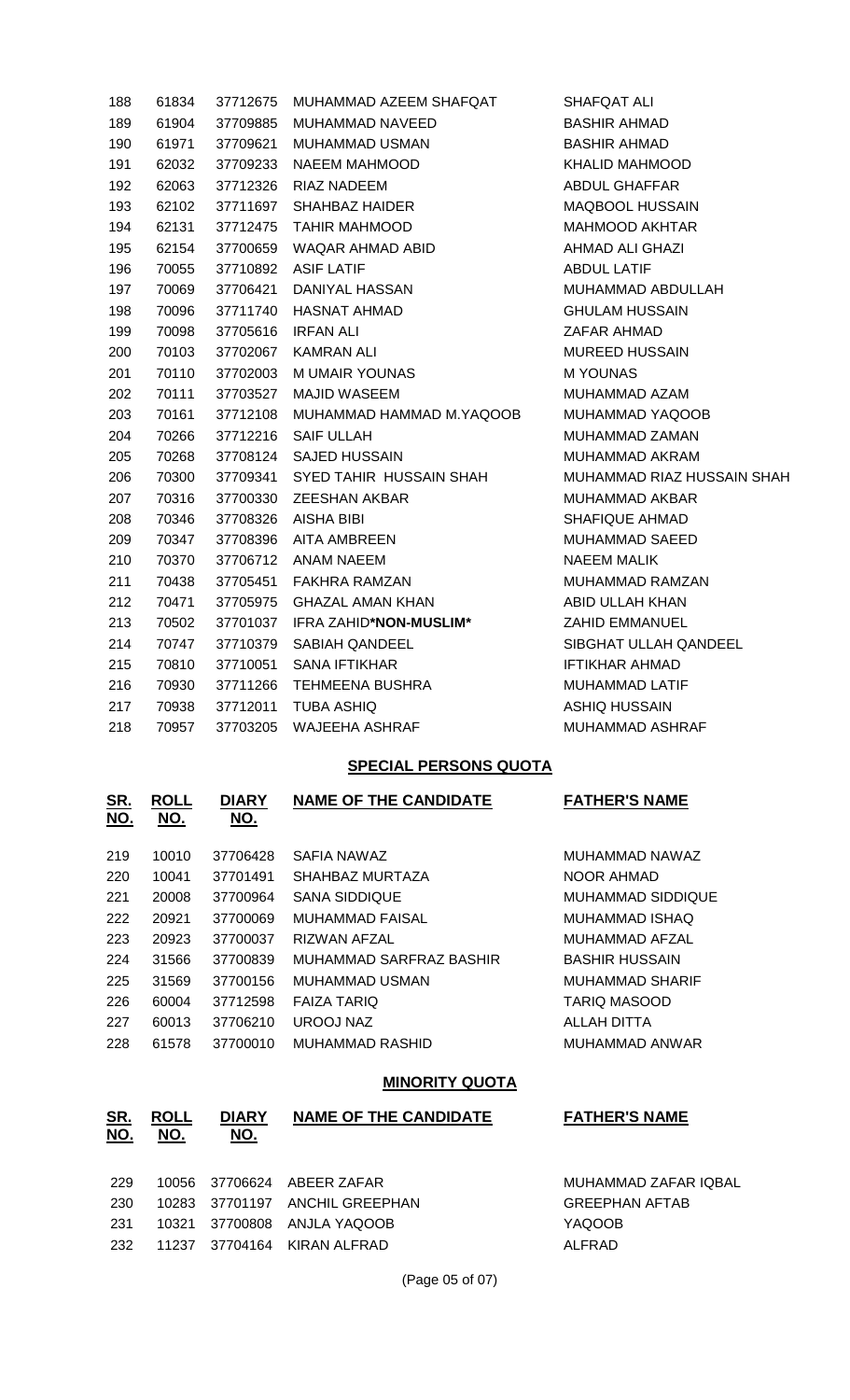| 188 | 61834 | 37712675 | MUHAMMAD AZEEM SHAFQAT   | SHAFQAT ALI            |
|-----|-------|----------|--------------------------|------------------------|
| 189 | 61904 | 37709885 | MUHAMMAD NAVEED          | <b>BASHIR AHMAD</b>    |
| 190 | 61971 | 37709621 | <b>MUHAMMAD USMAN</b>    | <b>BASHIR AHMAD</b>    |
| 191 | 62032 | 37709233 | <b>NAEEM MAHMOOD</b>     | <b>KHALID MAHMOOD</b>  |
| 192 | 62063 | 37712326 | RIAZ NADEEM              | <b>ABDUL GHAFFAR</b>   |
| 193 | 62102 | 37711697 | <b>SHAHBAZ HAIDER</b>    | MAQBOOL HUSSAIN        |
| 194 | 62131 | 37712475 | <b>TAHIR MAHMOOD</b>     | <b>MAHMOOD AKHTAR</b>  |
| 195 | 62154 | 37700659 | WAQAR AHMAD ABID         | <b>AHMAD ALI GHAZI</b> |
| 196 | 70055 | 37710892 | <b>ASIF LATIF</b>        | <b>ABDUL LATIF</b>     |
| 197 | 70069 | 37706421 | DANIYAL HASSAN           | MUHAMMAD ABDULL        |
| 198 | 70096 | 37711740 | HASNAT AHMAD             | <b>GHULAM HUSSAIN</b>  |
| 199 | 70098 | 37705616 | <b>IRFAN ALI</b>         | ZAFAR AHMAD            |
| 200 | 70103 | 37702067 | KAMRAN ALI               | <b>MUREED HUSSAIN</b>  |
| 201 | 70110 | 37702003 | M UMAIR YOUNAS           | <b>MYOUNAS</b>         |
| 202 | 70111 | 37703527 | <b>MAJID WASEEM</b>      | MUHAMMAD AZAM          |
| 203 | 70161 | 37712108 | MUHAMMAD HAMMAD M.YAQOOB | <b>MUHAMMAD YAQOOB</b> |
| 204 | 70266 | 37712216 | <b>SAIF ULLAH</b>        | MUHAMMAD ZAMAN         |
| 205 | 70268 | 37708124 | <b>SAJED HUSSAIN</b>     | MUHAMMAD AKRAM         |
| 206 | 70300 | 37709341 | SYED TAHIR HUSSAIN SHAH  | MUHAMMAD RIAZ HU       |
| 207 | 70316 | 37700330 | <b>ZEESHAN AKBAR</b>     | MUHAMMAD AKBAR         |
| 208 | 70346 | 37708326 | <b>AISHA BIBI</b>        | SHAFIQUE AHMAD         |
| 209 | 70347 | 37708396 | <b>AITA AMBREEN</b>      | MUHAMMAD SAEED         |
| 210 | 70370 | 37706712 | <b>ANAM NAEEM</b>        | <b>NAEEM MALIK</b>     |
| 211 | 70438 | 37705451 | <b>FAKHRA RAMZAN</b>     | MUHAMMAD RAMZAN        |
| 212 | 70471 | 37705975 | <b>GHAZAL AMAN KHAN</b>  | ABID ULLAH KHAN        |
| 213 | 70502 | 37701037 | IFRA ZAHID*NON-MUSLIM*   | <b>ZAHID EMMANUEL</b>  |
| 214 | 70747 | 37710379 | SABIAH QANDEEL           | SIBGHAT ULLAH QAN      |
| 215 | 70810 | 37710051 | <b>SANA IFTIKHAR</b>     | <b>IFTIKHAR AHMAD</b>  |
| 216 | 70930 | 37711266 | TEHMEENA BUSHRA          | MUHAMMAD LATIF         |
| 217 | 70938 | 37712011 | <b>TUBA ASHIQ</b>        | <b>ASHIQ HUSSAIN</b>   |
| 218 | 70957 | 37703205 | <b>WAJEEHA ASHRAF</b>    | <b>MUHAMMAD ASHRAF</b> |
|     |       |          |                          |                        |

SHAFQAT ALI BASHIR AHMAD BASHIR AHMAD KHALID MAHMOOD ABDUL GHAFFAR MAQBOOL HUSSAIN MAHMOOD AKHTAR AHMAD ALI GHAZI ABDUL LATIF MUHAMMAD ABDULLAH **GHULAM HUSSAIN** ZAFAR AHMAD MUREED HUSSAIN M YOUNAS MUHAMMAD AZAM MUHAMMAD YAQOOB MUHAMMAD ZAMAN MUHAMMAD AKRAM MUHAMMAD RIAZ HUSSAIN SHAH MUHAMMAD AKBAR SHAFIQUE AHMAD MUHAMMAD SAEED NAEEM MALIK MUHAMMAD RAMZAN ABID ULLAH KHAN 213 70502 37701037 IFRA ZAHID**\*NON-MUSLIM\*** ZAHID EMMANUEL SIBGHAT ULLAH QANDEEL IFTIKHAR AHMAD MUHAMMAD LATIF ASHIQ HUSSAIN

#### **SPECIAL PERSONS QUOTA**

| <u>SR.</u><br><u>NO.</u> | <b>ROLL</b><br>NO. | <b>DIARY</b><br>NO. | <b>NAME OF THE CANDIDATE</b> | <b>FATHER'S NAME</b>   |
|--------------------------|--------------------|---------------------|------------------------------|------------------------|
| 219                      | 10010              | 37706428            | SAFIA NAWAZ                  | MUHAMMAD NAWAZ         |
| 220                      | 10041              | 37701491            | SHAHBAZ MURTAZA              | NOOR AHMAD             |
| 221                      | 20008              | 37700964            | <b>SANA SIDDIQUE</b>         | MUHAMMAD SIDDIQUE      |
| 222                      | 20921              | 37700069            | <b>MUHAMMAD FAISAL</b>       | MUHAMMAD ISHAQ         |
| 223                      | 20923              | 37700037            | RIZWAN AFZAL                 | MUHAMMAD AFZAL         |
| 224                      | 31566              | 37700839            | MUHAMMAD SARFRAZ BASHIR      | <b>BASHIR HUSSAIN</b>  |
| 225                      | 31569              | 37700156            | MUHAMMAD USMAN               | <b>MUHAMMAD SHARIF</b> |
| 226                      | 60004              | 37712598            | <b>FAIZA TARIQ</b>           | TARIO MASOOD           |
| 227                      | 60013              | 37706210            | UROOJ NAZ                    | ALLAH DITTA            |
| 228                      | 61578              | 37700010            | MUHAMMAD RASHID              | MUHAMMAD ANWAR         |

#### **MINORITY QUOTA**

| <u>SR.</u><br><u>NO.</u> | <b>ROLL</b><br>NO. | <b>DIARY</b><br><u>NO.</u> | <b>NAME OF THE CANDIDATE</b> | <b>FATHER'S NAME</b>  |
|--------------------------|--------------------|----------------------------|------------------------------|-----------------------|
| 229                      | 10056              |                            | 37706624 ABEER ZAFAR         | MUHAMMAD ZAFAR IQBAL  |
| 230                      | 10283              |                            | 37701197 ANCHIL GREEPHAN     | <b>GREEPHAN AFTAB</b> |
| 231                      | 10321              | 37700808                   | ANJLA YAQOOB                 | <b>YAQOOB</b>         |
| 232                      | 11237              |                            | 37704164 KIRAN ALFRAD        | ALFRAD                |
|                          |                    |                            |                              |                       |

(Page 05 of 07)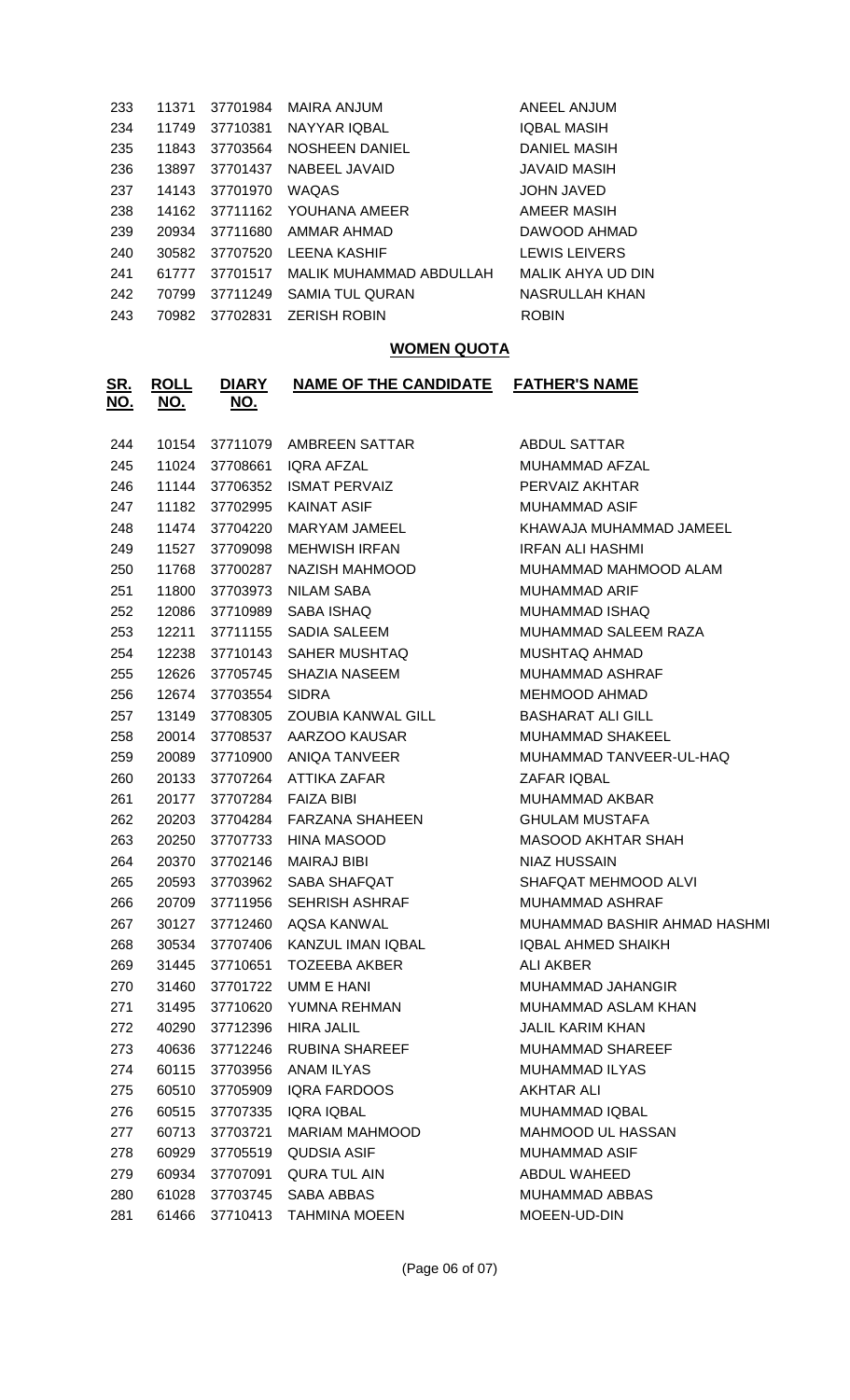| 233 | 11371 | 37701984 | <b>MAIRA ANJUM</b>               | ANEEL ANJUM         |
|-----|-------|----------|----------------------------------|---------------------|
| 234 | 11749 | 37710381 | NAYYAR IQBAL                     | <b>IQBAL MASIH</b>  |
| 235 | 11843 | 37703564 | NOSHEEN DANIEL                   | <b>DANIEL MASIH</b> |
| 236 | 13897 | 37701437 | NABEEL JAVAID                    | JAVAID MASIH        |
| 237 | 14143 | 37701970 | <b>WAQAS</b>                     | <b>JOHN JAVED</b>   |
| 238 | 14162 | 37711162 | YOUHANA AMEER                    | AMEER MASIH         |
| 239 | 20934 | 37711680 | AMMAR AHMAD                      | DAWOOD AHMAD        |
| 240 | 30582 | 37707520 | LEENA KASHIF                     | LEWIS LEIVERS       |
| 241 | 61777 |          | 37701517 MALIK MUHAMMAD ABDULLAH | MALIK AHYA UD DIN   |
| 242 | 70799 | 37711249 | <b>SAMIA TUL QURAN</b>           | NASRULLAH KHAN      |
| 243 | 70982 | 37702831 | <b>ZERISH ROBIN</b>              | <b>ROBIN</b>        |
|     |       |          |                                  |                     |

## **WOMEN QUOTA**

| <u>SR.</u><br><u>NO.</u> | <b>ROLL</b><br><u>NO.</u> | <b>DIARY</b><br><u>NO.</u> | <b>NAME OF THE CANDIDATE</b> | <b>FATHER'S NAME</b>         |
|--------------------------|---------------------------|----------------------------|------------------------------|------------------------------|
| 244                      | 10154                     | 37711079                   | AMBREEN SATTAR               | <b>ABDUL SATTAR</b>          |
| 245                      | 11024                     | 37708661                   | <b>IORA AFZAL</b>            | MUHAMMAD AFZAL               |
| 246                      | 11144                     | 37706352                   | <b>ISMAT PERVAIZ</b>         | PERVAIZ AKHTAR               |
| 247                      | 11182                     | 37702995                   | <b>KAINAT ASIF</b>           | <b>MUHAMMAD ASIF</b>         |
| 248                      | 11474                     | 37704220                   | <b>MARYAM JAMEEL</b>         | KHAWAJA MUHAMMAD JAMEEL      |
| 249                      | 11527                     | 37709098                   | <b>MEHWISH IRFAN</b>         | <b>IRFAN ALI HASHMI</b>      |
| 250                      | 11768                     | 37700287                   | NAZISH MAHMOOD               | MUHAMMAD MAHMOOD ALAM        |
| 251                      | 11800                     | 37703973                   | <b>NILAM SABA</b>            | <b>MUHAMMAD ARIF</b>         |
| 252                      | 12086                     | 37710989                   | SABA ISHAQ                   | MUHAMMAD ISHAQ               |
| 253                      | 12211                     | 37711155                   | <b>SADIA SALEEM</b>          | MUHAMMAD SALEEM RAZA         |
| 254                      | 12238                     | 37710143                   | SAHER MUSHTAQ                | MUSHTAQ AHMAD                |
| 255                      | 12626                     | 37705745                   | <b>SHAZIA NASEEM</b>         | <b>MUHAMMAD ASHRAF</b>       |
| 256                      | 12674                     | 37703554                   | <b>SIDRA</b>                 | <b>MEHMOOD AHMAD</b>         |
| 257                      | 13149                     | 37708305                   | <b>ZOUBIA KANWAL GILL</b>    | <b>BASHARAT ALI GILL</b>     |
| 258                      | 20014                     | 37708537                   | AARZOO KAUSAR                | <b>MUHAMMAD SHAKEEL</b>      |
| 259                      | 20089                     | 37710900                   | <b>ANIQA TANVEER</b>         | MUHAMMAD TANVEER-UL-HAQ      |
| 260                      | 20133                     | 37707264                   | ATTIKA ZAFAR                 | ZAFAR IQBAL                  |
| 261                      | 20177                     | 37707284                   | <b>FAIZA BIBI</b>            | MUHAMMAD AKBAR               |
| 262                      | 20203                     | 37704284                   | FARZANA SHAHEEN              | <b>GHULAM MUSTAFA</b>        |
| 263                      | 20250                     | 37707733                   | HINA MASOOD                  | <b>MASOOD AKHTAR SHAH</b>    |
| 264                      | 20370                     | 37702146                   | <b>MAIRAJ BIBI</b>           | <b>NIAZ HUSSAIN</b>          |
| 265                      | 20593                     | 37703962                   | SABA SHAFQAT                 | SHAFQAT MEHMOOD ALVI         |
| 266                      | 20709                     | 37711956                   | <b>SEHRISH ASHRAF</b>        | MUHAMMAD ASHRAF              |
| 267                      | 30127                     | 37712460                   | AQSA KANWAL                  | MUHAMMAD BASHIR AHMAD HASHMI |
| 268                      | 30534                     | 37707406                   | KANZUL IMAN IQBAL            | <b>IQBAL AHMED SHAIKH</b>    |
| 269                      | 31445                     | 37710651                   | <b>TOZEEBA AKBER</b>         | <b>ALI AKBER</b>             |
| 270                      | 31460                     | 37701722                   | UMM E HANI                   | MUHAMMAD JAHANGIR            |
| 271                      | 31495                     | 37710620                   | YUMNA REHMAN                 | MUHAMMAD ASLAM KHAN          |
| 272                      | 40290                     | 37712396                   | <b>HIRA JALIL</b>            | <b>JALIL KARIM KHAN</b>      |
| 273                      | 40636                     | 37712246                   | RUBINA SHAREEF               | <b>MUHAMMAD SHAREEF</b>      |
| 274                      | 60115                     | 37703956                   | ANAM ILYAS                   | MUHAMMAD ILYAS               |
| 275                      | 60510                     | 37705909                   | IQRA FARDOOS                 | <b>AKHTAR ALI</b>            |
| 276                      | 60515                     | 37707335                   | <b>IQRA IQBAL</b>            | MUHAMMAD IQBAL               |
| 277                      | 60713                     | 37703721                   | <b>MARIAM MAHMOOD</b>        | MAHMOOD UL HASSAN            |
| 278                      | 60929                     | 37705519                   | <b>QUDSIA ASIF</b>           | MUHAMMAD ASIF                |
| 279                      | 60934                     | 37707091                   | <b>QURA TUL AIN</b>          | ABDUL WAHEED                 |
| 280                      | 61028                     | 37703745                   | SABA ABBAS                   | MUHAMMAD ABBAS               |
| 281                      | 61466                     | 37710413                   | <b>TAHMINA MOEEN</b>         | MOEEN-UD-DIN                 |
|                          |                           |                            |                              |                              |